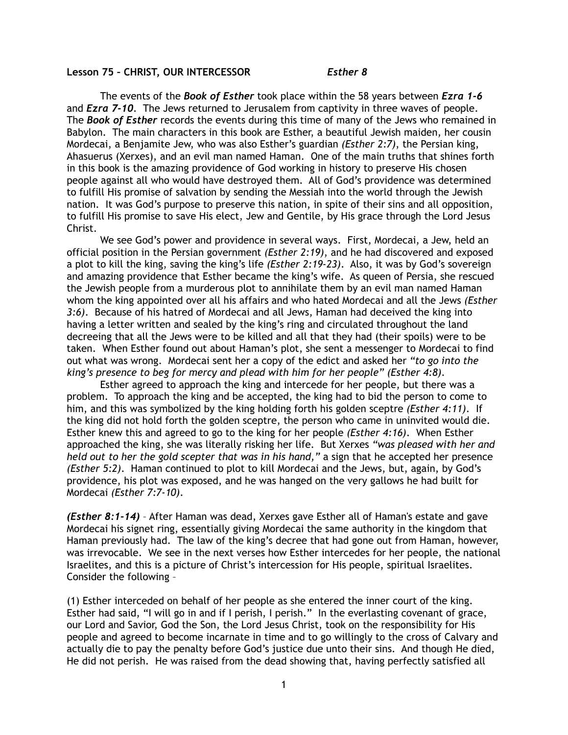## **Lesson 75 – CHRIST, OUR INTERCESSOR** *Esther 8*

 The events of the *Book of Esther* took place within the 58 years between *Ezra 1-6* and *Ezra 7-10*. The Jews returned to Jerusalem from captivity in three waves of people. The *Book of Esther* records the events during this time of many of the Jews who remained in Babylon. The main characters in this book are Esther, a beautiful Jewish maiden, her cousin Mordecai, a Benjamite Jew, who was also Esther's guardian *(Esther 2:7)*, the Persian king, Ahasuerus (Xerxes), and an evil man named Haman. One of the main truths that shines forth in this book is the amazing providence of God working in history to preserve His chosen people against all who would have destroyed them. All of God's providence was determined to fulfill His promise of salvation by sending the Messiah into the world through the Jewish nation. It was God's purpose to preserve this nation, in spite of their sins and all opposition, to fulfill His promise to save His elect, Jew and Gentile, by His grace through the Lord Jesus Christ.

 We see God's power and providence in several ways. First, Mordecai, a Jew, held an official position in the Persian government *(Esther 2:19)*, and he had discovered and exposed a plot to kill the king, saving the king's life *(Esther 2:19-23)*. Also, it was by God's sovereign and amazing providence that Esther became the king's wife. As queen of Persia, she rescued the Jewish people from a murderous plot to annihilate them by an evil man named Haman whom the king appointed over all his affairs and who hated Mordecai and all the Jews *(Esther 3:6)*. Because of his hatred of Mordecai and all Jews, Haman had deceived the king into having a letter written and sealed by the king's ring and circulated throughout the land decreeing that all the Jews were to be killed and all that they had (their spoils) were to be taken. When Esther found out about Haman's plot, she sent a messenger to Mordecai to find out what was wrong. Mordecai sent her a copy of the edict and asked her *"to go into the king's presence to beg for mercy and plead with him for her people" (Esther 4:8)*.

Esther agreed to approach the king and intercede for her people, but there was a problem. To approach the king and be accepted, the king had to bid the person to come to him, and this was symbolized by the king holding forth his golden sceptre *(Esther 4:11)*. If the king did not hold forth the golden sceptre, the person who came in uninvited would die. Esther knew this and agreed to go to the king for her people *(Esther 4:16)*. When Esther approached the king, she was literally risking her life. But Xerxes *"was pleased with her and held out to her the gold scepter that was in his hand,"* a sign that he accepted her presence *(Esther 5:2)*. Haman continued to plot to kill Mordecai and the Jews, but, again, by God's providence, his plot was exposed, and he was hanged on the very gallows he had built for Mordecai *(Esther 7:7-10)*.

*(Esther 8:1-14)* – After Haman was dead, Xerxes gave Esther all of Haman's estate and gave Mordecai his signet ring, essentially giving Mordecai the same authority in the kingdom that Haman previously had. The law of the king's decree that had gone out from Haman, however, was irrevocable. We see in the next verses how Esther intercedes for her people, the national Israelites, and this is a picture of Christ's intercession for His people, spiritual Israelites. Consider the following –

(1) Esther interceded on behalf of her people as she entered the inner court of the king. Esther had said, "I will go in and if I perish, I perish." In the everlasting covenant of grace, our Lord and Savior, God the Son, the Lord Jesus Christ, took on the responsibility for His people and agreed to become incarnate in time and to go willingly to the cross of Calvary and actually die to pay the penalty before God's justice due unto their sins. And though He died, He did not perish. He was raised from the dead showing that, having perfectly satisfied all